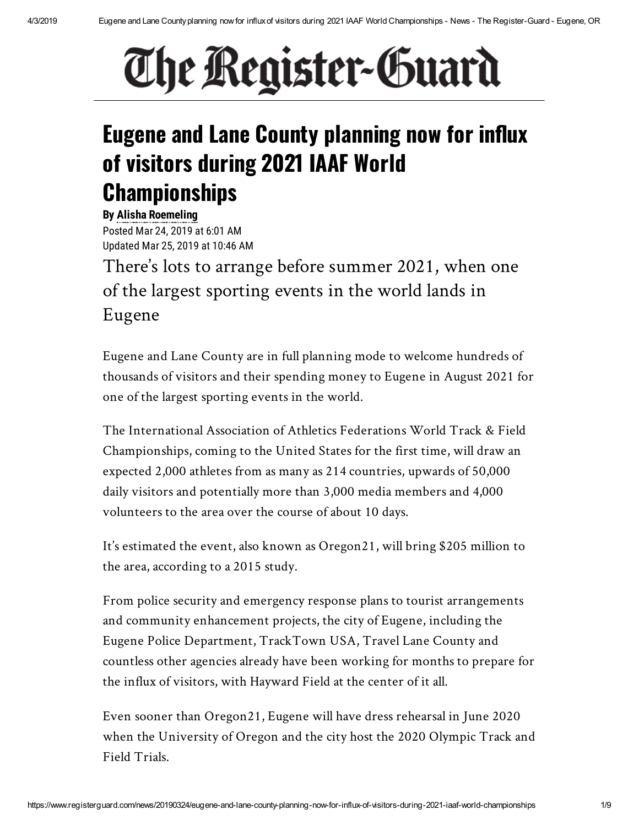# The Register-Guard

# **Eugene and Lane County planning now for influx of visitors during 2021 IAAF World Championships**

**By Alisha [Roemeling](mailto:aroemeling@registerguard.com)** Posted Mar 24, 2019 at 6:01 AM Updated Mar 25, 2019 at 10:46 AM

There's lots to arrange before summer 2021, when one of the largest sporting events in the world lands in Eugene

Eugene and Lane County are in full planning mode to welcome hundreds of thousands of visitors and their spending money to Eugene in August 2021 for one of the largest sporting events in the world.

The International Association of Athletics Federations World Track & Field Championships, coming to the United States for the first time, will draw an expected 2,000 athletes from as many as 214 countries, upwards of 50,000 daily visitors and potentially more than 3,000 media members and 4,000 volunteers to the area over the course of about 10 days.

It's estimated the event, also known as Oregon21, will bring \$205 million to the area, according to a 2015 study.

From police security and emergency response plans to tourist arrangements and community enhancement projects, the city of Eugene, including the Eugene Police Department, TrackTown USA, Travel Lane County and countless other agencies already have been working for months to prepare for the influx of visitors, with Hayward Field at the center of it all.

Even sooner than Oregon21, Eugene will have dress rehearsal in June 2020 when the University of Oregon and the city host the 2020 Olympic Track and Field Trials.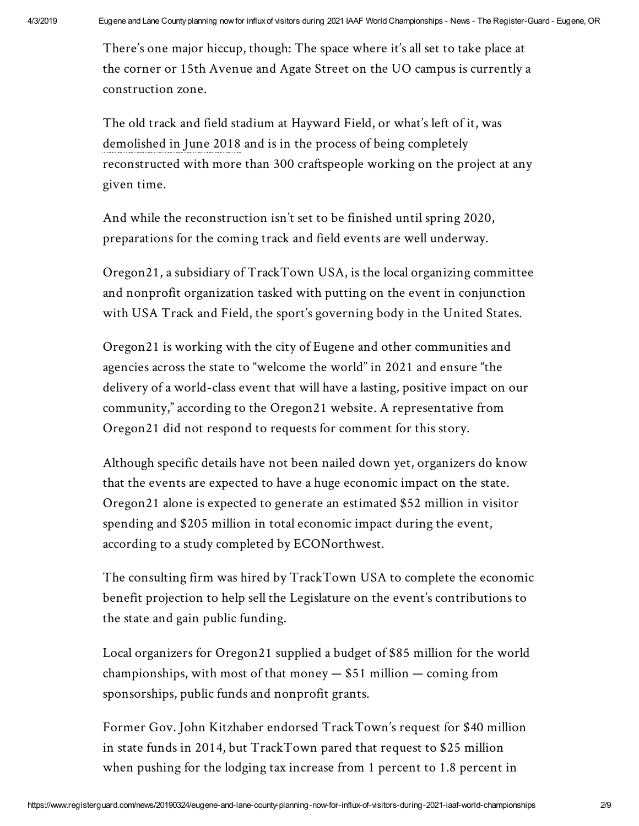There's one major hiccup, though: The space where it's all set to take place at the corner or 15th Avenue and Agate Street on the UO campus is currently a construction zone.

The old track and field stadium at Hayward Field, or what's left of it, was [demolished](https://www.registerguard.com/news/20180622/hayward-field-rebuild-starts-with-razing-of-east-grandstand) in June 2018 and is in the process of being completely reconstructed with more than 300 craftspeople working on the project at any given time.

And while the reconstruction isn't set to be finished until spring 2020, preparations for the coming track and field events are well underway.

Oregon21, a subsidiary of TrackTown USA, is the local organizing committee and nonprofit organization tasked with putting on the event in conjunction with USA Track and Field, the sport's governing body in the United States.

Oregon21 is working with the city of Eugene and other communities and agencies across the state to "welcome the world" in 2021 and ensure "the delivery of a world-class event that will have a lasting, positive impact on our community," according to the Oregon21 website. A representative from Oregon21 did not respond to requests for comment for this story.

Although specific details have not been nailed down yet, organizers do know that the events are expected to have a huge economic impact on the state. Oregon21 alone is expected to generate an estimated \$52 million in visitor spending and \$205 million in total economic impact during the event, according to a study completed by ECONorthwest.

The consulting firm was hired by TrackTown USA to complete the economic benefit projection to help sell the Legislature on the event's contributions to the state and gain public funding.

Local organizers for Oregon21 supplied a budget of \$85 million for the world championships, with most of that money  $-$  \$51 million  $-$  coming from sponsorships, public funds and nonprofit grants.

Former Gov. John Kitzhaber endorsed TrackTown's request for \$40 million in state funds in 2014, but TrackTown pared that request to \$25 million when pushing for the lodging tax increase from 1 percent to 1.8 percent in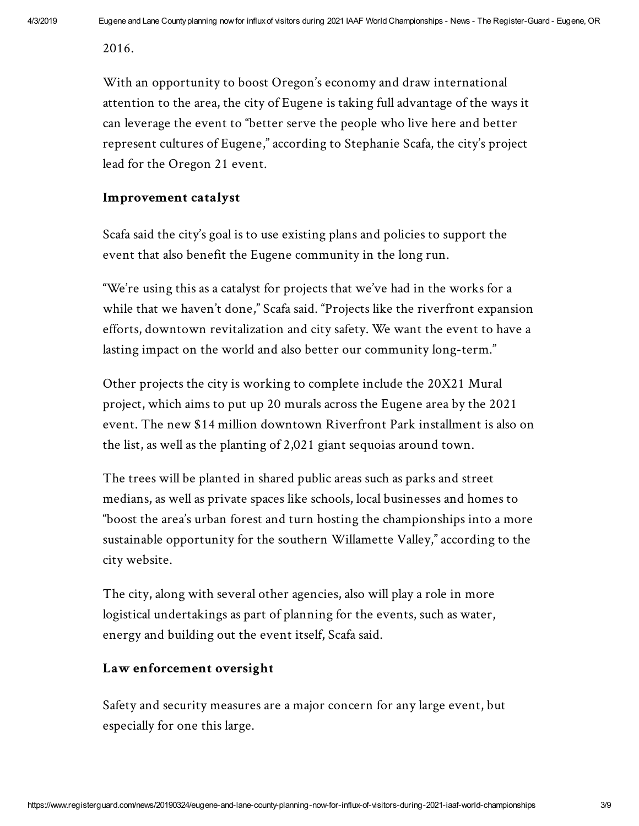2016.

With an opportunity to boost Oregon's economy and draw international attention to the area, the city of Eugene is taking full advantage of the ways it can leverage the event to "better serve the people who live here and better represent cultures of Eugene," according to Stephanie Scafa, the city's project lead for the Oregon 21 event.

# **Improvement catalyst**

Scafa said the city's goal is to use existing plans and policies to support the event that also benefit the Eugene community in the long run.

"We're using this as a catalyst for projects that we've had in the works for a while that we haven't done," Scafa said. "Projects like the riverfront expansion efforts, downtown revitalization and city safety. We want the event to have a lasting impact on the world and also better our community long-term."

Other projects the city is working to complete include the 20X21 Mural project, which aims to put up 20 murals across the Eugene area by the 2021 event. The new \$14 million downtown Riverfront Park installment is also on the list, as well as the planting of 2,021 giant sequoias around town.

The trees will be planted in shared public areas such as parks and street medians, as well as private spaces like schools, local businesses and homes to "boost the area's urban forest and turn hosting the championships into a more sustainable opportunity for the southern Willamette Valley," according to the city website.

The city, along with several other agencies, also will play a role in more logistical undertakings as part of planning for the events, such as water, energy and building out the event itself, Scafa said.

#### **Law enforcement oversight**

Safety and security measures are a major concern for any large event, but especially for one this large.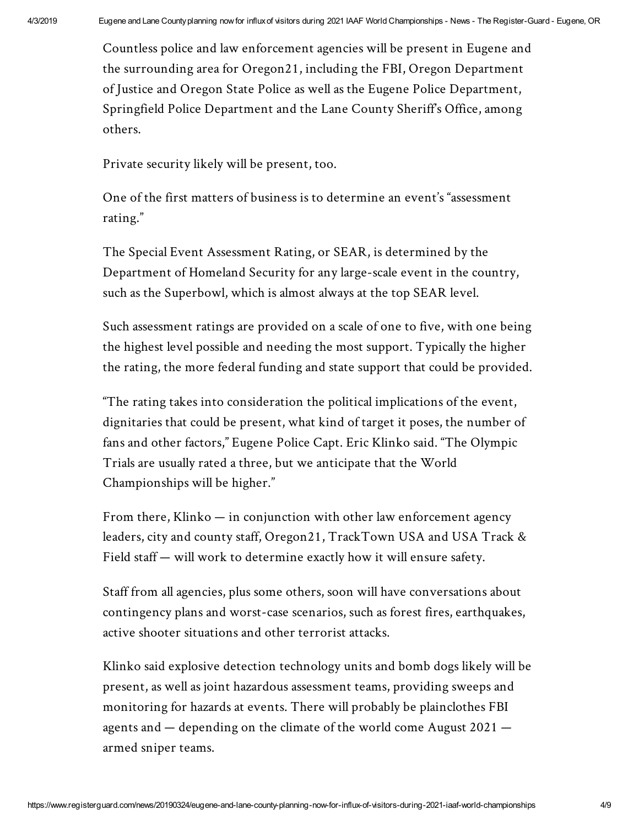Countless police and law enforcement agencies will be present in Eugene and the surrounding area for Oregon21, including the FBI, Oregon Department of Justice and Oregon State Police as well as the Eugene Police Department, Springfield Police Department and the Lane County Sheriff's Office, among others.

Private security likely will be present, too.

One of the first matters of business is to determine an event's "assessment rating."

The Special Event Assessment Rating, or SEAR, is determined by the Department of Homeland Security for any large-scale event in the country, such as the Superbowl, which is almost always at the top SEAR level.

Such assessment ratings are provided on a scale of one to five, with one being the highest level possible and needing the most support. Typically the higher the rating, the more federal funding and state support that could be provided.

"The rating takes into consideration the political implications of the event, dignitaries that could be present, what kind of target it poses, the number of fans and other factors," Eugene Police Capt. Eric Klinko said. "The Olympic Trials are usually rated a three, but we anticipate that the World Championships will be higher."

From there, Klinko — in conjunction with other law enforcement agency leaders, city and county staff, Oregon21, TrackTown USA and USA Track & Field staff — will work to determine exactly how it will ensure safety.

Staff from all agencies, plus some others, soon will have conversations about contingency plans and worst-case scenarios, such as forest fires, earthquakes, active shooter situations and other terrorist attacks.

Klinko said explosive detection technology units and bomb dogs likely will be present, as well as joint hazardous assessment teams, providing sweeps and monitoring for hazards at events. There will probably be plainclothes FBI agents and — depending on the climate of the world come August 2021 armed sniper teams.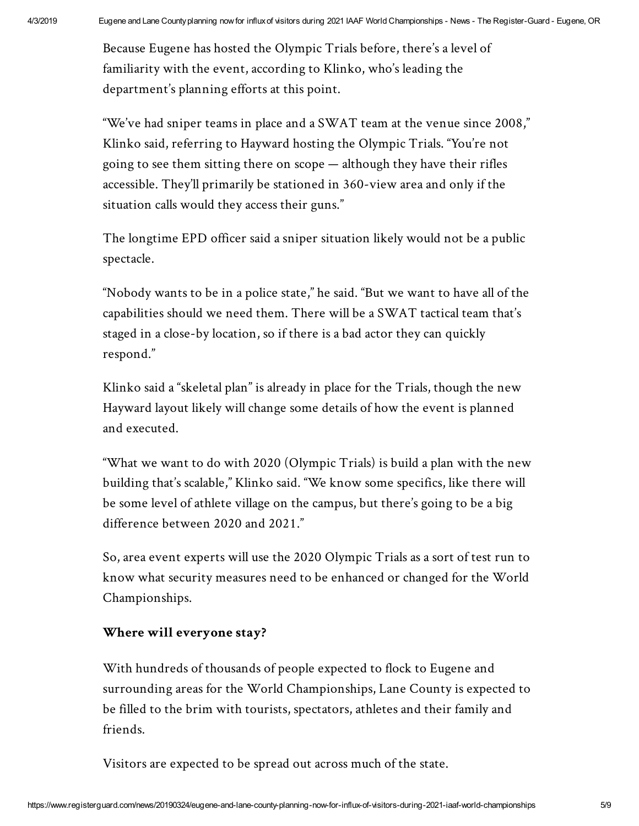Because Eugene has hosted the Olympic Trials before, there's a level of familiarity with the event, according to Klinko, who's leading the department's planning efforts at this point.

"We've had sniper teams in place and a SWAT team at the venue since 2008," Klinko said, referring to Hayward hosting the Olympic Trials. "You're not going to see them sitting there on scope — although they have their rifles accessible. They'll primarily be stationed in 360-view area and only if the situation calls would they access their guns."

The longtime EPD officer said a sniper situation likely would not be a public spectacle.

"Nobody wants to be in a police state," he said. "But we want to have all of the capabilities should we need them. There will be a SWAT tactical team that's staged in a close-by location, so if there is a bad actor they can quickly respond."

Klinko said a "skeletal plan" is already in place for the Trials, though the new Hayward layout likely will change some details of how the event is planned and executed.

"What we want to do with 2020 (Olympic Trials) is build a plan with the new building that's scalable," Klinko said. "We know some specifics, like there will be some level of athlete village on the campus, but there's going to be a big difference between 2020 and 2021."

So, area event experts will use the 2020 Olympic Trials as a sort of test run to know what security measures need to be enhanced or changed for the World Championships.

# **Where will everyone stay?**

With hundreds of thousands of people expected to flock to Eugene and surrounding areas for the World Championships, Lane County is expected to be filled to the brim with tourists, spectators, athletes and their family and friends.

Visitors are expected to be spread out across much of the state.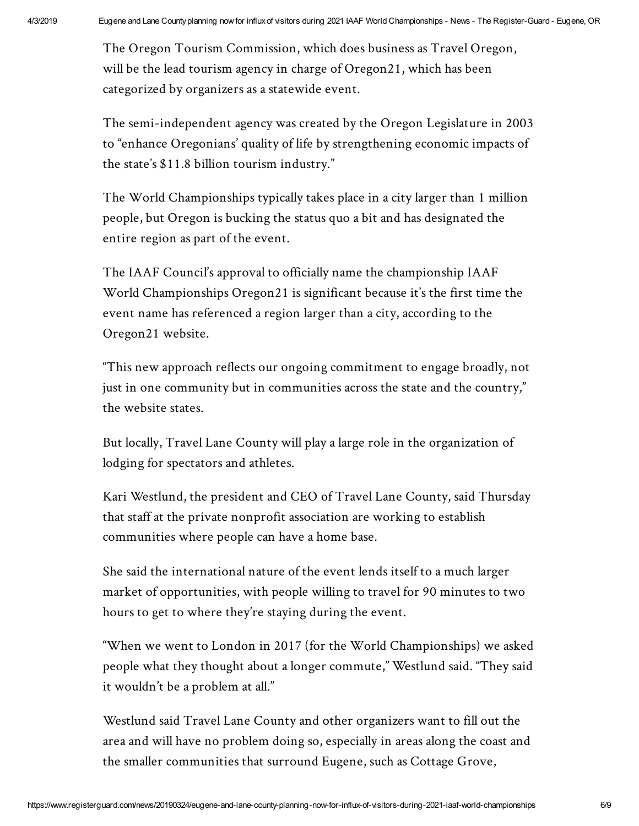The Oregon Tourism Commission, which does business as Travel Oregon, will be the lead tourism agency in charge of Oregon21, which has been categorized by organizers as a statewide event.

The semi-independent agency was created by the Oregon Legislature in 2003 to "enhance Oregonians' quality of life by strengthening economic impacts of the state's \$11.8 billion tourism industry."

The World Championships typically takes place in a city larger than 1 million people, but Oregon is bucking the status quo a bit and has designated the entire region as part of the event.

The IAAF Council's approval to officially name the championship IAAF World Championships Oregon21 is significant because it's the first time the event name has referenced a region larger than a city, according to the Oregon21 website.

"This new approach reflects our ongoing commitment to engage broadly, not just in one community but in communities across the state and the country," the website states.

But locally, Travel Lane County will play a large role in the organization of lodging for spectators and athletes.

Kari Westlund, the president and CEO of Travel Lane County, said Thursday that staff at the private nonprofit association are working to establish communities where people can have a home base.

She said the international nature of the event lends itself to a much larger market of opportunities, with people willing to travel for 90 minutes to two hours to get to where they're staying during the event.

"When we went to London in 2017 (for the World Championships) we asked people what they thought about a longer commute," Westlund said. "They said it wouldn't be a problem at all."

Westlund said Travel Lane County and other organizers want to fill out the area and will have no problem doing so, especially in areas along the coast and the smaller communities that surround Eugene, such as Cottage Grove,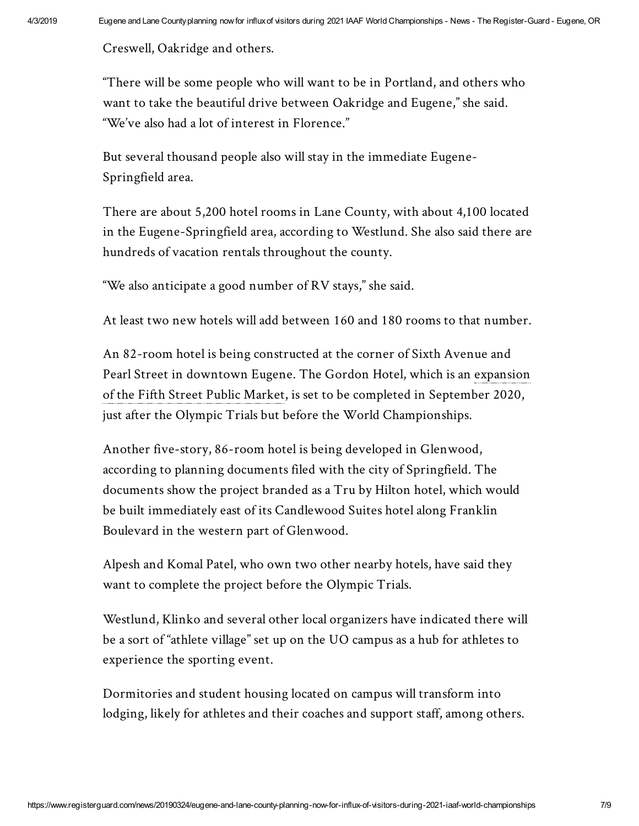Creswell, Oakridge and others.

"There will be some people who will want to be in Portland, and others who want to take the beautiful drive between Oakridge and Eugene," she said. "We've also had a lot of interest in Florence."

But several thousand people also will stay in the immediate Eugene-Springfield area.

There are about 5,200 hotel rooms in Lane County, with about 4,100 located in the Eugene-Springfield area, according to Westlund. She also said there are hundreds of vacation rentals throughout the county.

"We also anticipate a good number of RV stays," she said.

At least two new hotels will add between 160 and 180 rooms to that number.

An 82-room hotel is being constructed at the corner of Sixth Avenue and Pearl Street in [downtown](https://www.registerguard.com/news/20190214/fifth-street-public-market-expansion-breaks-ground) Eugene. The Gordon Hotel, which is an expansion of the Fifth Street Public Market, is set to be completed in September 2020, just after the Olympic Trials but before the World Championships.

Another five-story, 86-room hotel is being developed in Glenwood, according to planning documents filed with the city of Springfield. The documents show the project branded as a Tru by Hilton hotel, which would be built immediately east of its Candlewood Suites hotel along Franklin Boulevard in the western part of Glenwood.

Alpesh and Komal Patel, who own two other nearby hotels, have said they want to complete the project before the Olympic Trials.

Westlund, Klinko and several other local organizers have indicated there will be a sort of "athlete village" set up on the UO campus as a hub for athletes to experience the sporting event.

Dormitories and student housing located on campus will transform into lodging, likely for athletes and their coaches and support staff, among others.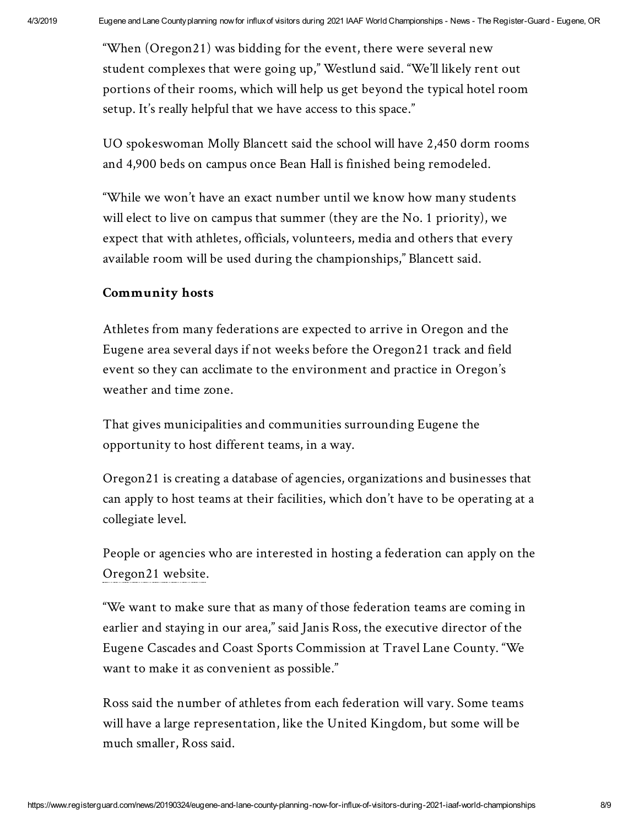"When (Oregon21) was bidding for the event, there were several new student complexes that were going up," Westlund said. "We'll likely rent out portions of their rooms, which will help us get beyond the typical hotel room setup. It's really helpful that we have access to this space."

UO spokeswoman Molly Blancett said the school will have 2,450 dorm rooms and 4,900 beds on campus once Bean Hall is finished being remodeled.

"While we won't have an exact number until we know how many students will elect to live on campus that summer (they are the No. 1 priority), we expect that with athletes, officials, volunteers, media and others that every available room will be used during the championships," Blancett said.

# **Community hosts**

Athletes from many federations are expected to arrive in Oregon and the Eugene area several days if not weeks before the Oregon21 track and field event so they can acclimate to the environment and practice in Oregon's weather and time zone.

That gives municipalities and communities surrounding Eugene the opportunity to host different teams, in a way.

Oregon21 is creating a database of agencies, organizations and businesses that can apply to host teams at their facilities, which don't have to be operating at a collegiate level.

People or agencies who are interested in hosting a federation can apply on the [Oregon21](https://oregon21.com/) website.

"We want to make sure that as many of those federation teams are coming in earlier and staying in our area," said Janis Ross, the executive director of the Eugene Cascades and Coast Sports Commission at Travel Lane County. "We want to make it as convenient as possible."

Ross said the number of athletes from each federation will vary. Some teams will have a large representation, like the United Kingdom, but some will be much smaller, Ross said.